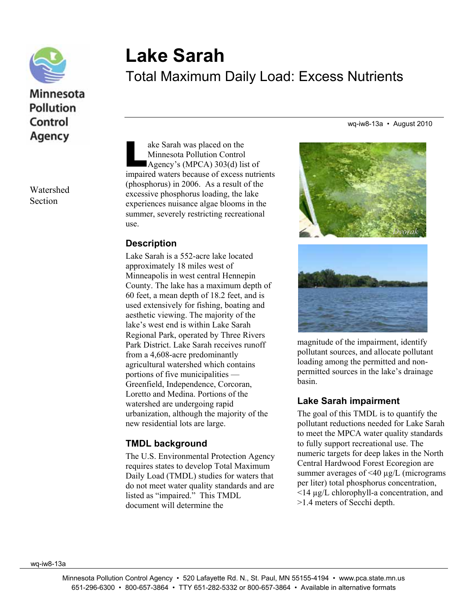

## Minnesota Pollution Control Agency

Watershed Section

# **Lake Sarah**  Total Maximum Daily Load: Excess Nutrients

wq-iw8-13a • August 2010

ake Sarah was placed on the Minnesota Pollution Control Agency's (MPCA) 303(d) list of ake Sarah was placed on the<br>
Minnesota Pollution Control<br>
Agency's (MPCA) 303(d) list of<br>
impaired waters because of excess nutrients (phosphorus) in 2006. As a result of the excessive phosphorus loading, the lake experiences nuisance algae blooms in the summer, severely restricting recreational use.

#### **Description**

Lake Sarah is a 552-acre lake located approximately 18 miles west of Minneapolis in west central Hennepin County. The lake has a maximum depth of 60 feet, a mean depth of 18.2 feet, and is used extensively for fishing, boating and aesthetic viewing. The majority of the lake's west end is within Lake Sarah Regional Park, operated by Three Rivers Park District. Lake Sarah receives runoff from a 4,608-acre predominantly agricultural watershed which contains portions of five municipalities — Greenfield, Independence, Corcoran, Loretto and Medina. Portions of the watershed are undergoing rapid urbanization, although the majority of the new residential lots are large.

#### **TMDL background**

The U.S. Environmental Protection Agency requires states to develop Total Maximum Daily Load (TMDL) studies for waters that do not meet water quality standards and are listed as "impaired." This TMDL document will determine the



magnitude of the impairment, identify pollutant sources, and allocate pollutant loading among the permitted and nonpermitted sources in the lake's drainage basin.

#### **Lake Sarah impairment**

The goal of this TMDL is to quantify the pollutant reductions needed for Lake Sarah to meet the MPCA water quality standards to fully support recreational use. The numeric targets for deep lakes in the North Central Hardwood Forest Ecoregion are summer averages of <40  $\mu$ g/L (micrograms) per liter) total phosphorus concentration, <14 µg/L chlorophyll-a concentration, and >1.4 meters of Secchi depth.